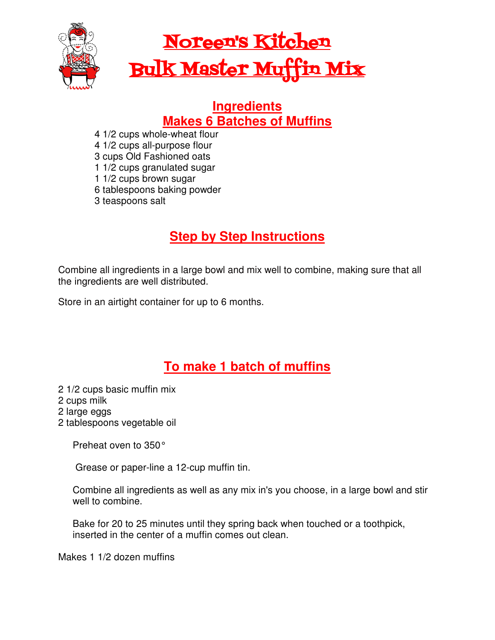

# Noreen's Kitchen Bulk Master Muffin Mix

#### **Ingredients Makes 6 Batches of Muffins**

- 4 1/2 cups whole-wheat flour
- 4 1/2 cups all-purpose flour
- 3 cups Old Fashioned oats
- 1 1/2 cups granulated sugar
- 1 1/2 cups brown sugar
- 6 tablespoons baking powder
- 3 teaspoons salt

## **Step by Step Instructions**

Combine all ingredients in a large bowl and mix well to combine, making sure that all the ingredients are well distributed.

Store in an airtight container for up to 6 months.

## **To make 1 batch of muffins**

- 2 1/2 cups basic muffin mix
- 2 cups milk
- 2 large eggs
- 2 tablespoons vegetable oil

Preheat oven to 350°

Grease or paper-line a 12-cup muffin tin.

Combine all ingredients as well as any mix in's you choose, in a large bowl and stir well to combine.

Bake for 20 to 25 minutes until they spring back when touched or a toothpick, inserted in the center of a muffin comes out clean.

Makes 1 1/2 dozen muffins